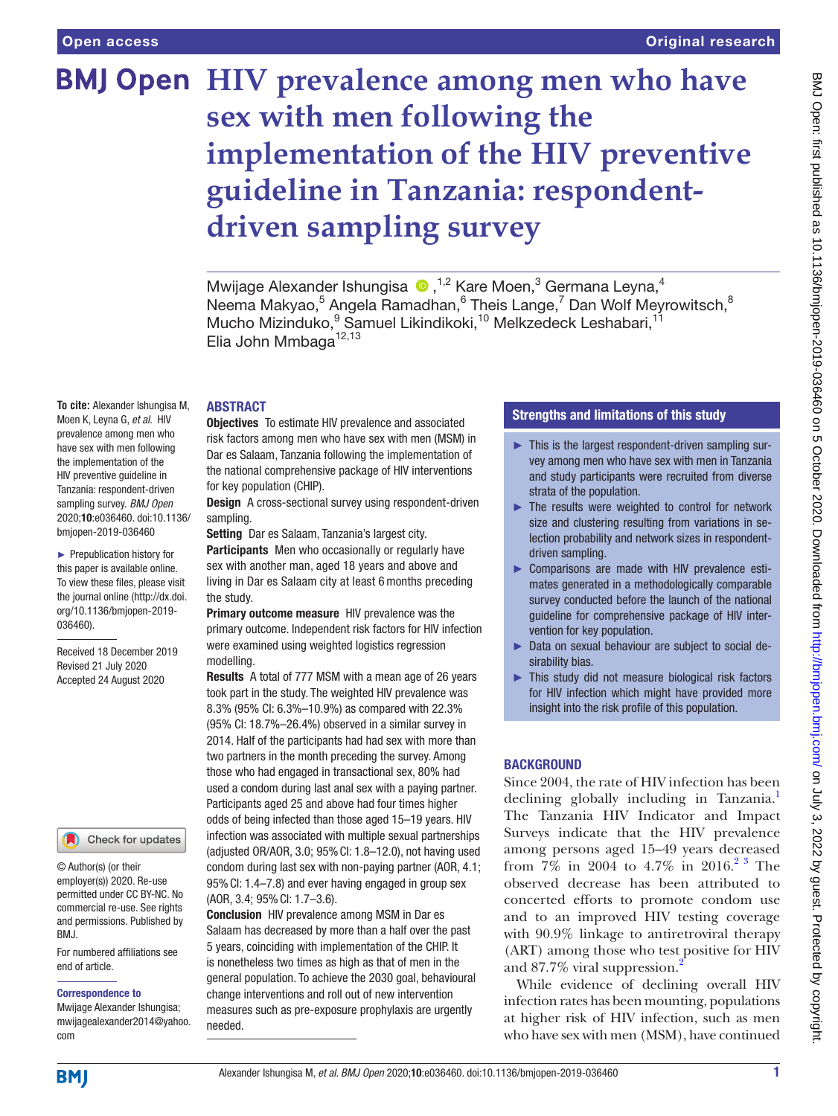**To cite:** Alexander Ishungisa M, Moen K, Leyna G, *et al*. HIV prevalence among men who have sex with men following the implementation of the HIV preventive guideline in Tanzania: respondent-driven sampling survey. *BMJ Open* 2020;10:e036460. doi:10.1136/ bmjopen-2019-036460 ► Prepublication history for this paper is available online. To view these files, please visit the journal online (http://dx.doi. org/10.1136/bmjopen-2019-

036460).

Received 18 December 2019 Revised 21 July 2020 Accepted 24 August 2020

For numbered affiliations see

Check for updates

# **BMJ Open** HIV prevalence among men who have **sex with men following the implementation of the HIV preventive guideline in Tanzania: respondentdriven sampling survey**

MwijageAlexander Ishungisa (D, <sup>1,2</sup> Kare Moen,<sup>3</sup> Germana Leyna,<sup>4</sup> Neema Makyao,<sup>5</sup> Angela Ramadhan,<sup>6</sup> Theis Lange,<sup>7</sup> Dan Wolf Meyrowitsch,<sup>8</sup> Mucho Mizinduko, <sup>9</sup> Samuel Likindikoki, <sup>10</sup> Melkzedeck Leshabari, <sup>11</sup> Elia John Mmbaga<sup>12,13</sup>

### ABSTRACT

Objectives To estimate HIV prevalence and associated risk factors among men who have sex with men (MSM) in Dar es Salaam, Tanzania following the implementation of the national comprehensive package of HIV interventions for key population (CHIP).

**Design** A cross-sectional survey using respondent-driven sampling.

Setting Dar es Salaam, Tanzania's largest city.

Participants Men who occasionally or regularly have sex with another man, aged 18 years and above and living in Dar es Salaam city at least 6 months preceding the study.

Primary outcome measure HIV prevalence was the primary outcome. Independent risk factors for HIV infection were examined using weighted logistics regression modelling.

Results A total of 777 MSM with a mean age of 26 years took part in the study. The weighted HIV prevalence was 8.3% (95% CI: 6.3%–10.9%) as compared with 22.3% (95% CI: 18.7%–26.4%) observed in a similar survey in 2014. Half of the participants had had sex with more than two partners in the month preceding the survey. Among those who had engaged in transactional sex, 80% had used a condom during last anal sex with a paying partner. Participants aged 25 and above had four times higher odds of being infected than those aged 15–19 years. HIV infection was associated with multiple sexual partnerships (adjusted OR/AOR, 3.0; 95%CI: 1.8–12.0), not having used condom during last sex with non-paying partner (AOR, 4.1; 95%CI: 1.4–7.8) and ever having engaged in group sex (AOR, 3.4; 95%CI: 1.7–3.6).

Conclusion HIV prevalence among MSM in Dar es Salaam has decreased by more than a half over the past 5 years, coinciding with implementation of the CHIP. It is nonetheless two times as high as that of men in the general population. To achieve the 2030 goal, behavioural change interventions and roll out of new intervention measures such as pre-exposure prophylaxis are urgently needed.

## Strengths and limitations of this study

- ► This is the largest respondent-driven sampling survey among men who have sex with men in Tanzania and study participants were recruited from diverse strata of the population.
- ► The results were weighted to control for network size and clustering resulting from variations in selection probability and network sizes in respondentdriven sampling.
- ► Comparisons are made with HIV prevalence estimates generated in a methodologically comparable survey conducted before the launch of the national guideline for comprehensive package of HIV intervention for key population.
- ► Data on sexual behaviour are subject to social desirability bias.
- ► This study did not measure biological risk factors for HIV infection which might have provided more insight into the risk profile of this population.

## **BACKGROUND**

Since 2004, the rate of HIV infection has been declining globally including in Tanzania.<sup>1</sup> The Tanzania HIV Indicator and Impact Surveys indicate that the HIV prevalence among persons aged 15–49 years decreased from 7% in 2004 to 4.7% in 2016.<sup>[2 3](#page-7-1)</sup> The observed decrease has been attributed to concerted efforts to promote condom use and to an improved HIV testing coverage with 90.9% linkage to antiretroviral therapy (ART) among those who test positive for HIV and 87.7% viral suppression.[2](#page-7-1)

While evidence of declining overall HIV infection rates has been mounting, populations at higher risk of HIV infection, such as men who have sex with men (MSM), have continued

## **BMI**

com

BMJ.

end of article.

Correspondence to Mwijage Alexander Ishungisa; mwijagealexander2014@yahoo.

© Author(s) (or their employer(s)) 2020. Re-use permitted under CC BY-NC. No commercial re-use. See rights and permissions. Published by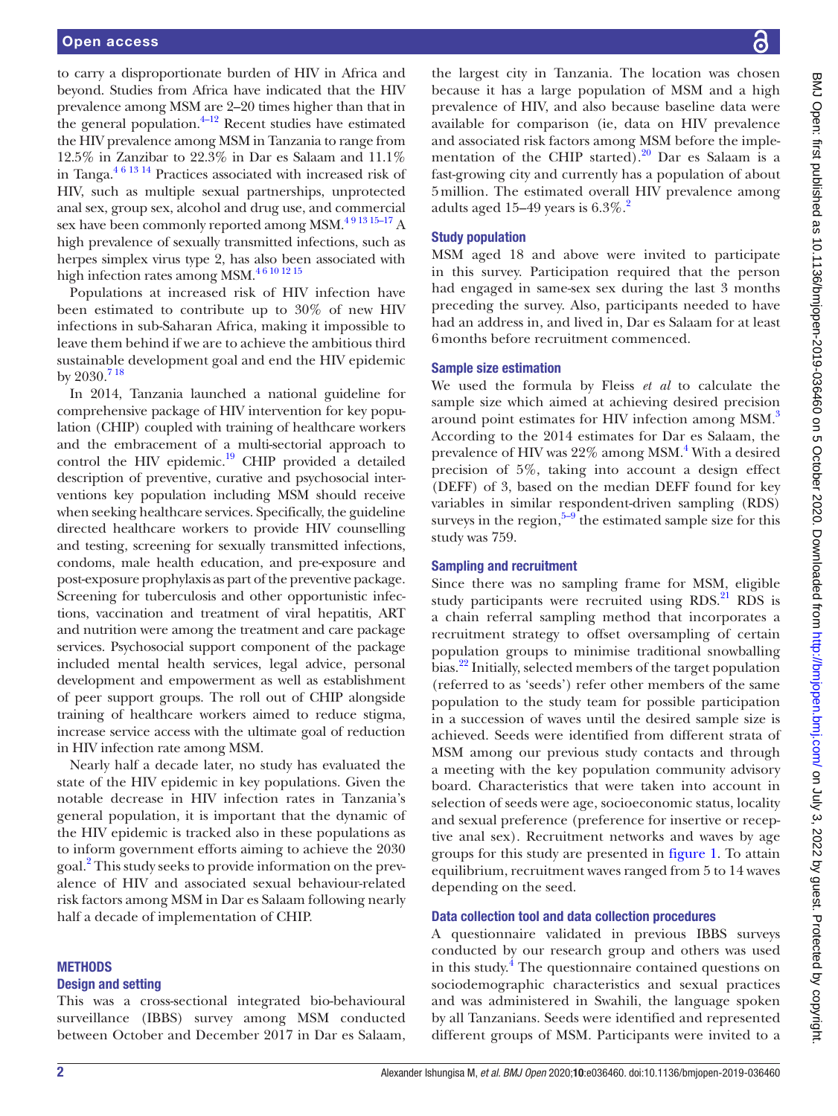to carry a disproportionate burden of HIV in Africa and beyond. Studies from Africa have indicated that the HIV prevalence among MSM are 2–20 times higher than that in the general population. $+12$  Recent studies have estimated the HIV prevalence among MSM in Tanzania to range from 12.5% in Zanzibar to 22.3% in Dar es Salaam and 11.1% in Tanga.[4 6 13 14](#page-7-2) Practices associated with increased risk of HIV, such as multiple sexual partnerships, unprotected anal sex, group sex, alcohol and drug use, and commercial sex have been commonly reported among MSM.<sup>491315-17</sup> A high prevalence of sexually transmitted infections, such as herpes simplex virus type 2, has also been associated with high infection rates among MSM.<sup>46 10 12 15</sup>

Populations at increased risk of HIV infection have been estimated to contribute up to 30% of new HIV infections in sub-Saharan Africa, making it impossible to leave them behind if we are to achieve the ambitious third sustainable development goal and end the HIV epidemic by  $2030.<sup>718</sup>$ 

In 2014, Tanzania launched a national guideline for comprehensive package of HIV intervention for key population (CHIP) coupled with training of healthcare workers and the embracement of a multi-sectorial approach to control the HIV epidemic.<sup>19</sup> CHIP provided a detailed description of preventive, curative and psychosocial interventions key population including MSM should receive when seeking healthcare services. Specifically, the guideline directed healthcare workers to provide HIV counselling and testing, screening for sexually transmitted infections, condoms, male health education, and pre-exposure and post-exposure prophylaxis as part of the preventive package. Screening for tuberculosis and other opportunistic infections, vaccination and treatment of viral hepatitis, ART and nutrition were among the treatment and care package services. Psychosocial support component of the package included mental health services, legal advice, personal development and empowerment as well as establishment of peer support groups. The roll out of CHIP alongside training of healthcare workers aimed to reduce stigma, increase service access with the ultimate goal of reduction in HIV infection rate among MSM.

Nearly half a decade later, no study has evaluated the state of the HIV epidemic in key populations. Given the notable decrease in HIV infection rates in Tanzania's general population, it is important that the dynamic of the HIV epidemic is tracked also in these populations as to inform government efforts aiming to achieve the 2030 goal.<sup>[2](#page-7-1)</sup> This study seeks to provide information on the prevalence of HIV and associated sexual behaviour-related risk factors among MSM in Dar es Salaam following nearly half a decade of implementation of CHIP.

#### **METHODS**

#### Design and setting

This was a cross-sectional integrated bio-behavioural surveillance (IBBS) survey among MSM conducted between October and December 2017 in Dar es Salaam,

the largest city in Tanzania. The location was chosen because it has a large population of MSM and a high prevalence of HIV, and also because baseline data were available for comparison (ie, data on HIV prevalence and associated risk factors among MSM before the implementation of the CHIP started).<sup>20</sup> Dar es Salaam is a fast-growing city and currently has a population of about 5million. The estimated overall HIV prevalence among adults aged 15–49 years is  $6.3\%$ <sup>2</sup>

#### Study population

MSM aged 18 and above were invited to participate in this survey. Participation required that the person had engaged in same-sex sex during the last 3 months preceding the survey. Also, participants needed to have had an address in, and lived in, Dar es Salaam for at least 6months before recruitment commenced.

#### Sample size estimation

We used the formula by Fleiss *et al* to calculate the sample size which aimed at achieving desired precision around point estimates for HIV infection among MSM.<sup>3</sup> According to the 2014 estimates for Dar es Salaam, the prevalence of HIV was 22% among MSM.<sup>[4](#page-7-2)</sup> With a desired precision of 5%, taking into account a design effect (DEFF) of 3, based on the median DEFF found for key variables in similar respondent-driven sampling (RDS) surveys in the region, $5-9$  the estimated sample size for this study was 759.

#### Sampling and recruitment

Since there was no sampling frame for MSM, eligible study participants were recruited using  $RDS$ .<sup>21</sup> RDS is a chain referral sampling method that incorporates a recruitment strategy to offset oversampling of certain population groups to minimise traditional snowballing bias.<sup>[22](#page-7-9)</sup> Initially, selected members of the target population (referred to as 'seeds') refer other members of the same population to the study team for possible participation in a succession of waves until the desired sample size is achieved. Seeds were identified from different strata of MSM among our previous study contacts and through a meeting with the key population community advisory board. Characteristics that were taken into account in selection of seeds were age, socioeconomic status, locality and sexual preference (preference for insertive or receptive anal sex). Recruitment networks and waves by age groups for this study are presented in [figure](#page-2-0) 1. To attain equilibrium, recruitment waves ranged from 5 to 14 waves depending on the seed.

#### Data collection tool and data collection procedures

A questionnaire validated in previous IBBS surveys conducted by our research group and others was used in this study. $\frac{4}{1}$  $\frac{4}{1}$  $\frac{4}{1}$  The questionnaire contained questions on sociodemographic characteristics and sexual practices and was administered in Swahili, the language spoken by all Tanzanians. Seeds were identified and represented different groups of MSM. Participants were invited to a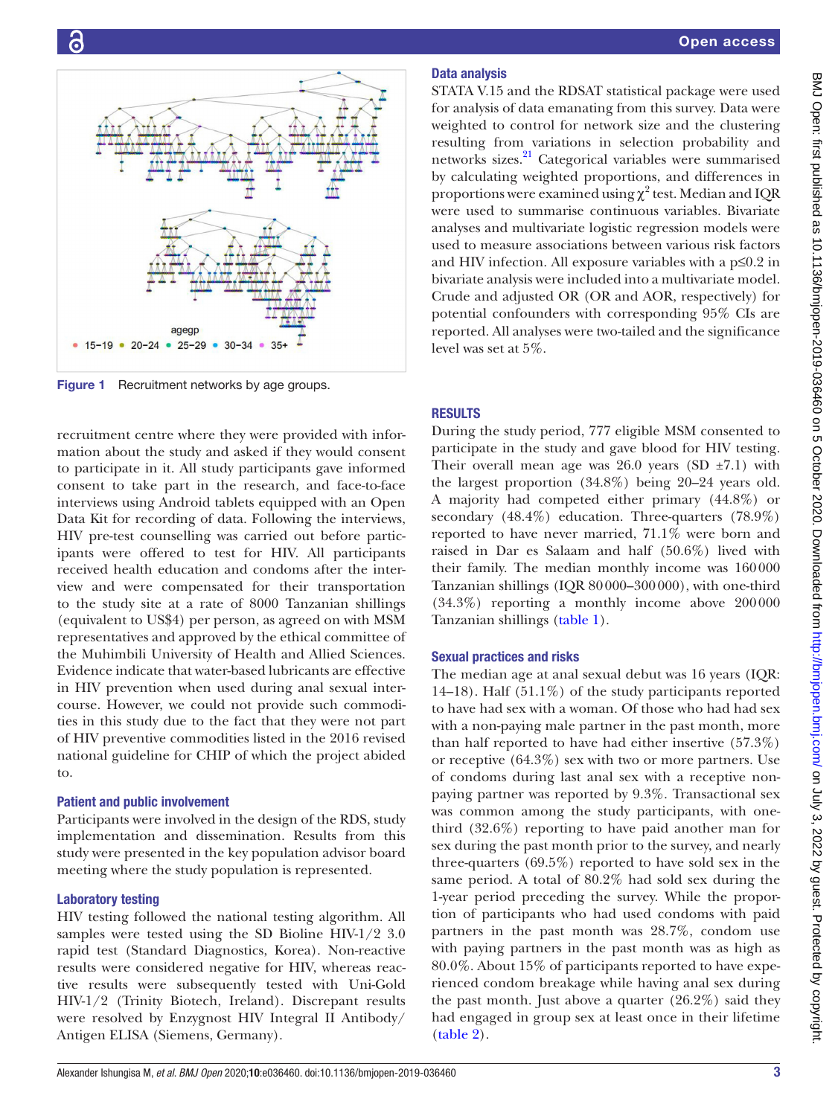

<span id="page-2-0"></span>Figure 1 Recruitment networks by age groups.

recruitment centre where they were provided with information about the study and asked if they would consent to participate in it. All study participants gave informed consent to take part in the research, and face-to-face interviews using Android tablets equipped with an Open Data Kit for recording of data. Following the interviews, HIV pre-test counselling was carried out before participants were offered to test for HIV. All participants received health education and condoms after the interview and were compensated for their transportation to the study site at a rate of 8000 Tanzanian shillings (equivalent to US\$4) per person, as agreed on with MSM representatives and approved by the ethical committee of the Muhimbili University of Health and Allied Sciences. Evidence indicate that water-based lubricants are effective in HIV prevention when used during anal sexual intercourse. However, we could not provide such commodities in this study due to the fact that they were not part of HIV preventive commodities listed in the 2016 revised national guideline for CHIP of which the project abided to.

## Patient and public involvement

Participants were involved in the design of the RDS, study implementation and dissemination. Results from this study were presented in the key population advisor board meeting where the study population is represented.

## Laboratory testing

HIV testing followed the national testing algorithm. All samples were tested using the SD Bioline HIV-1/2 3.0 rapid test (Standard Diagnostics, Korea). Non-reactive results were considered negative for HIV, whereas reactive results were subsequently tested with Uni-Gold HIV-1/2 (Trinity Biotech, Ireland). Discrepant results were resolved by Enzygnost HIV Integral II Antibody/ Antigen ELISA (Siemens, Germany).

## Data analysis

STATA V.15 and the RDSAT statistical package were used for analysis of data emanating from this survey. Data were weighted to control for network size and the clustering resulting from variations in selection probability and networks sizes.<sup>21</sup> Categorical variables were summarised by calculating weighted proportions, and differences in proportions were examined using  $\chi^2$  test. Median and IQR were used to summarise continuous variables. Bivariate analyses and multivariate logistic regression models were used to measure associations between various risk factors and HIV infection. All exposure variables with a p≤0.2 in bivariate analysis were included into a multivariate model. Crude and adjusted OR (OR and AOR, respectively) for potential confounders with corresponding 95% CIs are reported. All analyses were two-tailed and the significance level was set at 5%.

## RESULTS

During the study period, 777 eligible MSM consented to participate in the study and gave blood for HIV testing. Their overall mean age was  $26.0$  years (SD  $\pm 7.1$ ) with the largest proportion (34.8%) being 20–24 years old. A majority had competed either primary (44.8%) or secondary  $(48.4\%)$  education. Three-quarters  $(78.9\%)$ reported to have never married, 71.1% were born and raised in Dar es Salaam and half (50.6%) lived with their family. The median monthly income was 160000 Tanzanian shillings (IQR 80000–300000), with one-third (34.3%) reporting a monthly income above 200000 Tanzanian shillings [\(table](#page-3-0) 1).

## Sexual practices and risks

The median age at anal sexual debut was 16 years (IQR: 14–18). Half  $(51.1\%)$  of the study participants reported to have had sex with a woman. Of those who had had sex with a non-paying male partner in the past month, more than half reported to have had either insertive (57.3%) or receptive (64.3%) sex with two or more partners. Use of condoms during last anal sex with a receptive nonpaying partner was reported by 9.3%. Transactional sex was common among the study participants, with onethird (32.6%) reporting to have paid another man for sex during the past month prior to the survey, and nearly three-quarters (69.5%) reported to have sold sex in the same period. A total of 80.2% had sold sex during the 1-year period preceding the survey. While the proportion of participants who had used condoms with paid partners in the past month was 28.7%, condom use with paying partners in the past month was as high as 80.0%. About 15% of participants reported to have experienced condom breakage while having anal sex during the past month. Just above a quarter (26.2%) said they had engaged in group sex at least once in their lifetime [\(table](#page-3-1) 2).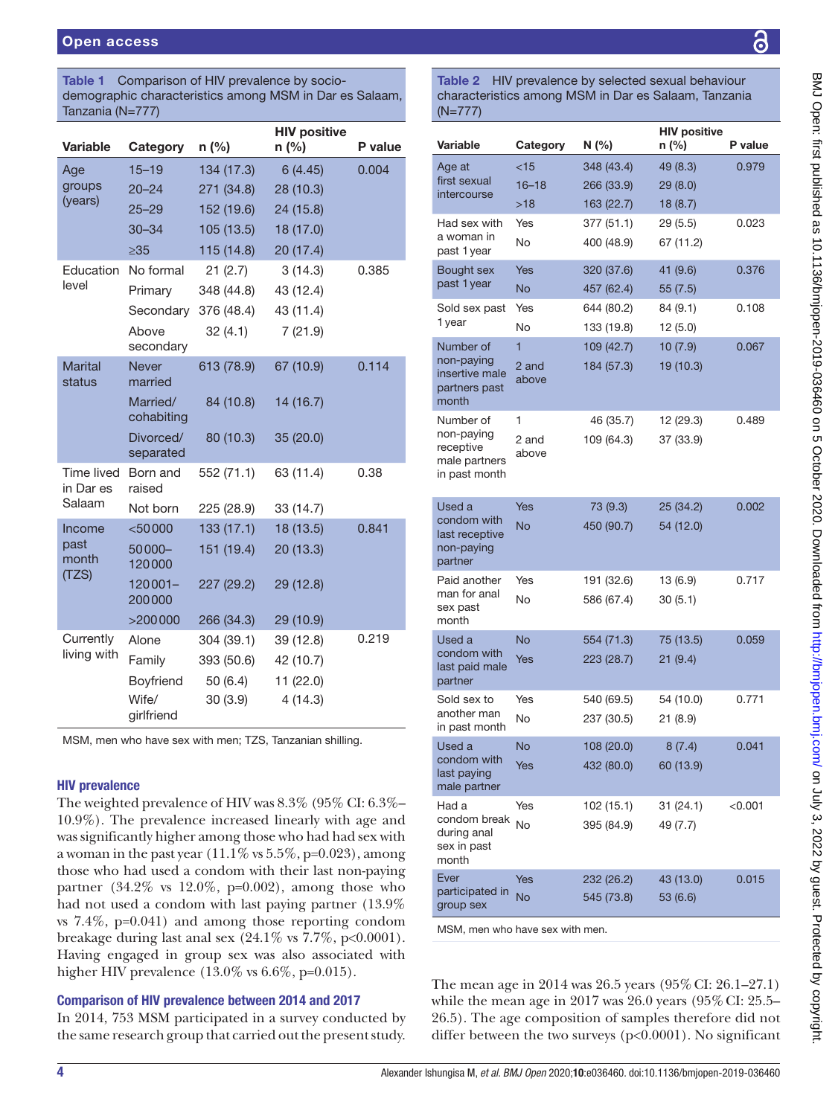<span id="page-3-0"></span>

| Table 1                           | Comparison of HIV prevalence by socio-<br>demographic characteristics among MSM in Dar es Salaam,<br>Tanzania (N=777) |                                                              |                                                           |         |  |
|-----------------------------------|-----------------------------------------------------------------------------------------------------------------------|--------------------------------------------------------------|-----------------------------------------------------------|---------|--|
| Variable                          | Category                                                                                                              | $n$ (%)                                                      | <b>HIV positive</b><br>$n$ (%)                            | P value |  |
| Age<br>groups<br>(years)          | $15 - 19$<br>$20 - 24$<br>$25 - 29$<br>$30 - 34$                                                                      | 134 (17.3)<br>271 (34.8)<br>152 (19.6)<br>105 (13.5)         | 6(4.45)<br>28 (10.3)<br>24 (15.8)<br>18 (17.0)            | 0.004   |  |
| Education<br>level                | $\geq 35$<br>No formal<br>Primary<br>Secondary<br>Above<br>secondary                                                  | 115 (14.8)<br>21(2.7)<br>348 (44.8)<br>376 (48.4)<br>32(4.1) | 20 (17.4)<br>3(14.3)<br>43 (12.4)<br>43 (11.4)<br>7(21.9) | 0.385   |  |
| <b>Marital</b><br>status          | <b>Never</b><br>married<br>Married/<br>cohabiting<br>Divorced/<br>separated                                           | 613 (78.9)<br>84 (10.8)<br>80 (10.3)                         | 67 (10.9)<br>14 (16.7)<br>35 (20.0)                       | 0.114   |  |
| Time lived<br>in Dar es<br>Salaam | Born and<br>raised<br>Not born                                                                                        | 552 (71.1)<br>225 (28.9)                                     | 63 (11.4)<br>33 (14.7)                                    | 0.38    |  |
| Income<br>past<br>month<br>(TZS)  | $<$ 50000<br>$50000 -$<br>120000<br>$120001 -$<br>200000<br>>200000                                                   | 133(17.1)<br>151 (19.4)<br>227 (29.2)<br>266 (34.3)          | 18 (13.5)<br>20 (13.3)<br>29 (12.8)<br>29 (10.9)          | 0.841   |  |
| Currently<br>living with          | Alone<br>Family<br>Boyfriend<br>Wife/<br>girlfriend                                                                   | 304 (39.1)<br>393 (50.6)<br>50 (6.4)<br>30(3.9)              | 39 (12.8)<br>42 (10.7)<br>11 (22.0)<br>4(14.3)            | 0.219   |  |

MSM, men who have sex with men; TZS, Tanzanian shilling.

#### HIV prevalence

The weighted prevalence of HIV was 8.3% (95% CI: 6.3%– 10.9%). The prevalence increased linearly with age and was significantly higher among those who had had sex with a woman in the past year  $(11.1\% \text{ vs } 5.5\%, \text{p=0.023})$ , among those who had used a condom with their last non-paying partner  $(34.2\% \text{ vs } 12.0\%, \text{ p=0.002})$ , among those who had not used a condom with last paying partner (13.9% vs 7.4%, p=0.041) and among those reporting condom breakage during last anal sex  $(24.1\% \text{ vs } 7.7\%, \text{ p<0.0001}).$ Having engaged in group sex was also associated with higher HIV prevalence (13.0% vs 6.6%, p=0.015).

## Comparison of HIV prevalence between 2014 and 2017

In 2014, 753 MSM participated in a survey conducted by the same research group that carried out the present study.

ဥ

<span id="page-3-1"></span>Table 2 HIV prevalence by selected sexual behaviour characteristics among MSM in Dar es Salaam, Tanzania (N=777)

|                                                        |                | <b>HIV positive</b> |           |         |
|--------------------------------------------------------|----------------|---------------------|-----------|---------|
| Variable                                               | Category       | N (%)               | n (%)     | P value |
| Age at                                                 | <15            | 348 (43.4)          | 49 (8.3)  | 0.979   |
| first sexual                                           | $16 - 18$      | 266 (33.9)          | 29 (8.0)  |         |
| intercourse                                            | >18            | 163 (22.7)          | 18(8.7)   |         |
| Had sex with                                           | Yes            | 377 (51.1)          | 29 (5.5)  | 0.023   |
| a woman in<br>past 1 year                              | No             | 400 (48.9)          | 67 (11.2) |         |
| Bought sex                                             | Yes            | 320 (37.6)          | 41 (9.6)  | 0.376   |
| past 1 year                                            | No             | 457 (62.4)          | 55(7.5)   |         |
| Sold sex past                                          | Yes            | 644 (80.2)          | 84 (9.1)  | 0.108   |
| 1 year                                                 | No             | 133 (19.8)          | 12(5.0)   |         |
| Number of                                              | $\overline{1}$ | 109 (42.7)          | 10(7.9)   | 0.067   |
| non-paying<br>insertive male<br>partners past<br>month | 2 and<br>above | 184 (57.3)          | 19 (10.3) |         |
| Number of                                              | 1              | 46 (35.7)           | 12 (29.3) | 0.489   |
| non-paying                                             | 2 and          | 109 (64.3)          | 37 (33.9) |         |
| receptive<br>male partners<br>in past month            | above          |                     |           |         |
| Used a                                                 | Yes            | 73 (9.3)            | 25 (34.2) | 0.002   |
| condom with<br>last receptive<br>non-paying<br>partner | <b>No</b>      | 450 (90.7)          | 54 (12.0) |         |
| Paid another                                           | Yes            | 191 (32.6)          | 13 (6.9)  | 0.717   |
| man for anal<br>sex past<br>month                      | No             | 586 (67.4)          | 30(5.1)   |         |
| Used a                                                 | <b>No</b>      | 554 (71.3)          | 75 (13.5) | 0.059   |
| condom with<br>last paid male<br>partner               | Yes            | 223 (28.7)          | 21(9.4)   |         |
| Sold sex to                                            | Yes            | 540 (69.5)          | 54 (10.0) | 0.771   |
| another man<br>in past month                           | <b>No</b>      | 237 (30.5)          | 21 (8.9)  |         |
| Used a                                                 | <b>No</b>      | 108 (20.0)          | 8(7.4)    | 0.041   |
| condom with<br>last paying<br>male partner             | Yes            | 432 (80.0)          | 60 (13.9) |         |
| Had a                                                  | Yes            | 102 (15.1)          | 31(24.1)  | < 0.001 |
| condom break<br>during anal<br>sex in past<br>month    | No             | 395 (84.9)          | 49 (7.7)  |         |
| Ever                                                   | Yes            | 232 (26.2)          | 43 (13.0) | 0.015   |
| participated in<br>group sex                           | <b>No</b>      | 545 (73.8)          | 53 (6.6)  |         |

MSM, men who have sex with men.

The mean age in 2014 was 26.5 years (95%CI: 26.1–27.1) while the mean age in  $2017$  was  $26.0$  years  $(95\% \text{ CI: } 25.5-$ 26.5). The age composition of samples therefore did not differ between the two surveys (p<0.0001). No significant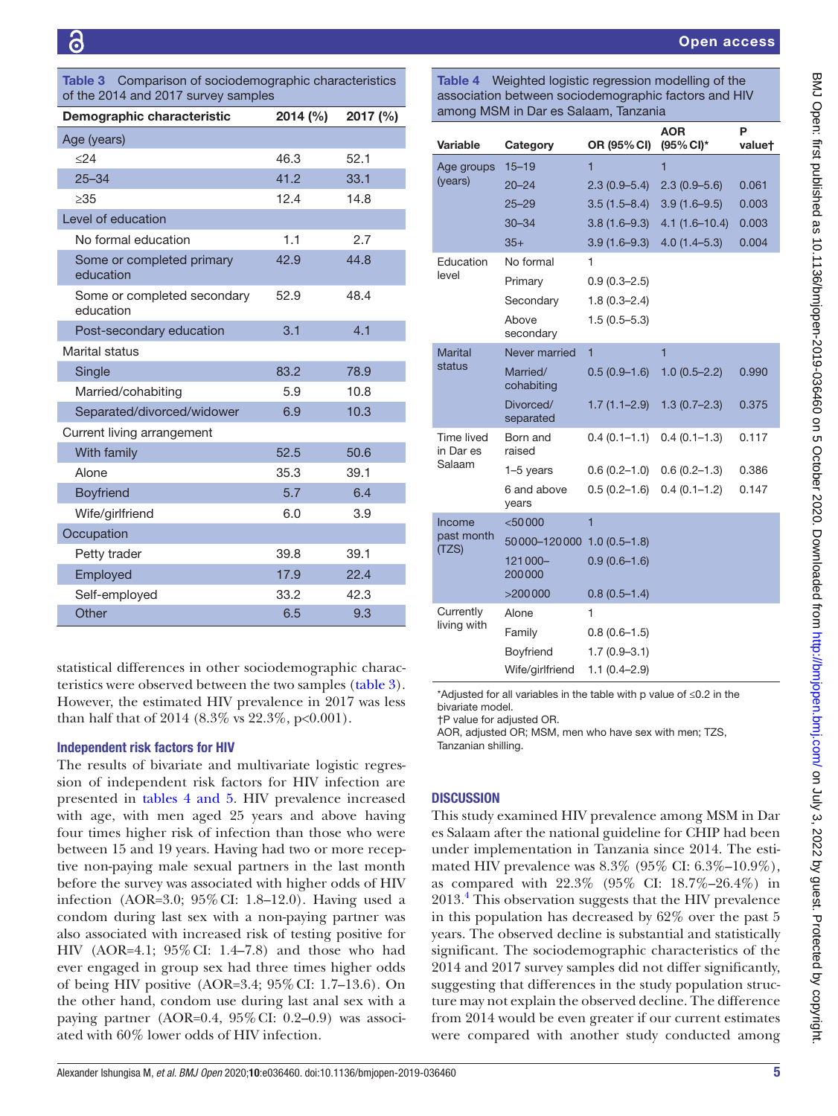<span id="page-4-0"></span>Table 3 Comparison of sociodemographic characteristics of the 2014 and 2017 survey samples

| Demographic characteristic               | $2014 \, (%)$ | 2017 (%) |  |  |
|------------------------------------------|---------------|----------|--|--|
| Age (years)                              |               |          |  |  |
| < 24                                     | 46.3          | 52.1     |  |  |
| $25 - 34$                                | 41.2          | 33.1     |  |  |
| >35                                      | 12.4          | 14.8     |  |  |
| Level of education                       |               |          |  |  |
| No formal education                      | 1.1           | 2.7      |  |  |
| Some or completed primary<br>education   | 42.9          | 44.8     |  |  |
| Some or completed secondary<br>education | 52.9          | 48.4     |  |  |
| Post-secondary education                 | 3.1           | 4.1      |  |  |
| Marital status                           |               |          |  |  |
| Single                                   | 83.2          | 78.9     |  |  |
| Married/cohabiting                       | 5.9           | 10.8     |  |  |
| Separated/divorced/widower               | 6.9           | 10.3     |  |  |
| Current living arrangement               |               |          |  |  |
| With family                              | 52.5          | 50.6     |  |  |
| Alone                                    | 35.3          | 39.1     |  |  |
| <b>Boyfriend</b>                         | 5.7           | 6.4      |  |  |
| Wife/girlfriend                          | 6.0           | 3.9      |  |  |
| Occupation                               |               |          |  |  |
| Petty trader                             | 39.8          | 39.1     |  |  |
| Employed                                 | 17.9          | 22.4     |  |  |
| Self-employed                            | 33.2          | 42.3     |  |  |
| Other                                    | 6.5           | 9.3      |  |  |

statistical differences in other sociodemographic characteristics were observed between the two samples ([table](#page-4-0) 3). However, the estimated HIV prevalence in 2017 was less than half that of 2014 (8.3% vs 22.3%, p<0.001).

#### Independent risk factors for HIV

The results of bivariate and multivariate logistic regression of independent risk factors for HIV infection are presented in tables [4 and 5](#page-4-1). HIV prevalence increased with age, with men aged 25 years and above having four times higher risk of infection than those who were between 15 and 19 years. Having had two or more receptive non-paying male sexual partners in the last month before the survey was associated with higher odds of HIV infection (AOR=3.0; 95%CI: 1.8–12.0). Having used a condom during last sex with a non-paying partner was also associated with increased risk of testing positive for HIV (AOR=4.1; 95%CI: 1.4–7.8) and those who had ever engaged in group sex had three times higher odds of being HIV positive (AOR=3.4; 95%CI: 1.7–13.6). On the other hand, condom use during last anal sex with a paying partner (AOR=0.4, 95%CI: 0.2–0.9) was associated with 60% lower odds of HIV infection.

<span id="page-4-1"></span>Table 4 Weighted logistic regression modelling of the association between sociodemographic factors and HIV among MSM in Dar es Salaam, Tanzania

|  | Variable                          | Category                   | OR (95% CI)             | <b>AOR</b><br>(95% CI)* | P<br>valuet |
|--|-----------------------------------|----------------------------|-------------------------|-------------------------|-------------|
|  | Age groups                        | $15 - 19$                  | $\overline{\mathbf{1}}$ | 1                       |             |
|  | (years)                           | 20–24                      | $2.3(0.9 - 5.4)$        | $2.3(0.9 - 5.6)$        | 0.061       |
|  |                                   | 25–29                      | $3.5(1.5 - 8.4)$        | $3.9(1.6-9.5)$          | 0.003       |
|  |                                   | $30 - 34$                  | $3.8(1.6-9.3)$          | $4.1(1.6 - 10.4)$       | 0.003       |
|  |                                   | $35+$                      | $3.9(1.6-9.3)$          | $4.0(1.4 - 5.3)$        | 0.004       |
|  | Education                         | No formal                  | 1                       |                         |             |
|  | level                             | Primary                    | $0.9(0.3 - 2.5)$        |                         |             |
|  |                                   | Secondary                  | $1.8(0.3 - 2.4)$        |                         |             |
|  |                                   | Above<br>secondary         | $1.5(0.5 - 5.3)$        |                         |             |
|  | <b>Marital</b>                    | Never married              | 1                       | 1                       |             |
|  | status                            | Married/<br>cohabiting     | $0.5(0.9-1.6)$          | $1.0(0.5 - 2.2)$        | 0.990       |
|  |                                   | Divorced/<br>separated     | $1.7(1.1 - 2.9)$        | $1.3(0.7 - 2.3)$        | 0.375       |
|  | Time lived<br>in Dar es<br>Salaam | Born and<br>raised         | $0.4(0.1-1.1)$          | $0.4(0.1-1.3)$          | 0.117       |
|  |                                   | $1-5$ years                | $0.6(0.2 - 1.0)$        | $0.6(0.2 - 1.3)$        | 0.386       |
|  |                                   | 6 and above<br>years       | $0.5(0.2 - 1.6)$        | $0.4(0.1 - 1.2)$        | 0.147       |
|  | Income<br>past month<br>(TZS)     | $<$ 50000                  | 1                       |                         |             |
|  |                                   | 50000-120000 1.0 (0.5-1.8) |                         |                         |             |
|  |                                   | 121000-<br>200000          | $0.9(0.6-1.6)$          |                         |             |
|  |                                   | >200000                    | $0.8(0.5-1.4)$          |                         |             |
|  | Currently<br>living with          | Alone                      | 1                       |                         |             |
|  |                                   | Family                     | $0.8(0.6-1.5)$          |                         |             |
|  |                                   | Boyfriend                  | $1.7(0.9 - 3.1)$        |                         |             |
|  |                                   | Wife/girlfriend            | $1.1(0.4 - 2.9)$        |                         |             |

\*Adjusted for all variables in the table with p value of ≤0.2 in the bivariate model.

†P value for adjusted OR.

AOR, adjusted OR; MSM, men who have sex with men; TZS, Tanzanian shilling.

## **DISCUSSION**

This study examined HIV prevalence among MSM in Dar es Salaam after the national guideline for CHIP had been under implementation in Tanzania since 2014. The estimated HIV prevalence was 8.3% (95% CI: 6.3%–10.9%), as compared with 22.3% (95% CI: 18.7%–26.4%) in 2013[.4](#page-7-2) This observation suggests that the HIV prevalence in this population has decreased by 62% over the past 5 years. The observed decline is substantial and statistically significant. The sociodemographic characteristics of the 2014 and 2017 survey samples did not differ significantly, suggesting that differences in the study population structure may not explain the observed decline. The difference from 2014 would be even greater if our current estimates were compared with another study conducted among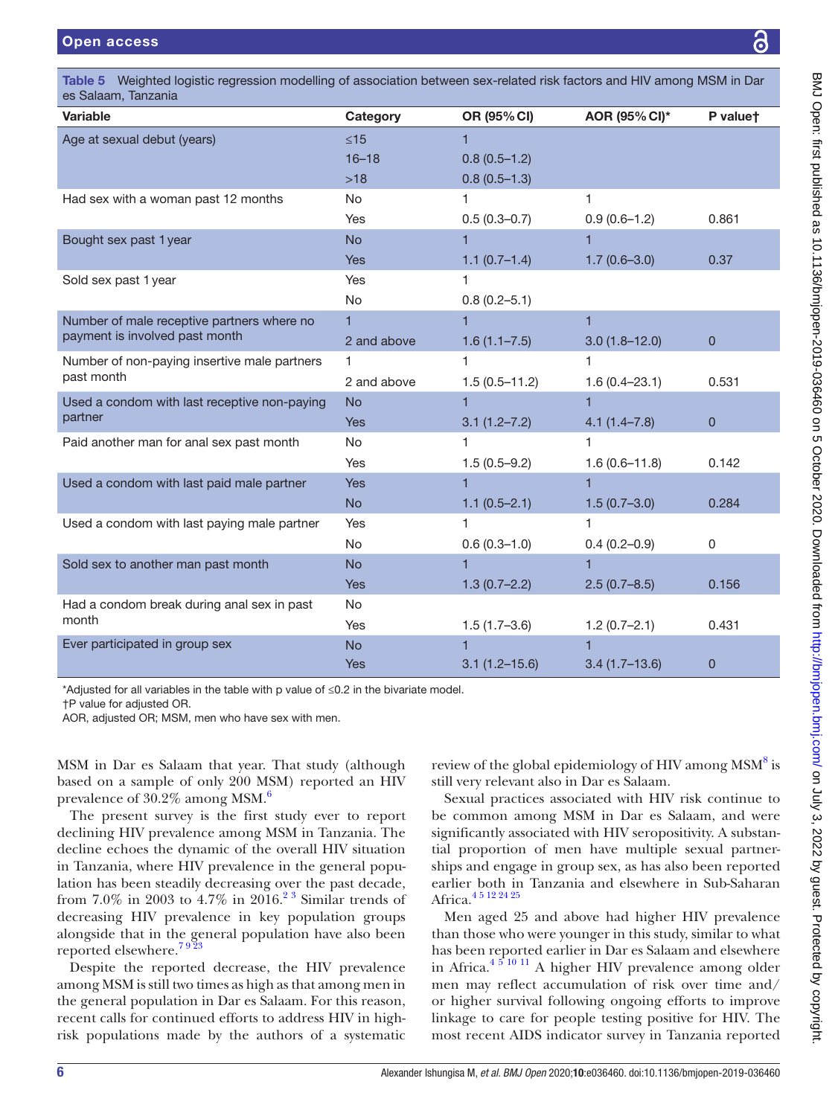es Salaam, Tanzania

| oo Odiddi ii, Taricariid<br><b>Variable</b>  | Category    | OR (95% CI)       | AOR (95% CI)*     | P valuet       |
|----------------------------------------------|-------------|-------------------|-------------------|----------------|
| Age at sexual debut (years)                  | $\leq 15$   |                   |                   |                |
|                                              | $16 - 18$   | $0.8(0.5-1.2)$    |                   |                |
|                                              | $>18$       | $0.8(0.5-1.3)$    |                   |                |
| Had sex with a woman past 12 months          | <b>No</b>   | 1                 | 1                 |                |
|                                              | Yes         | $0.5(0.3 - 0.7)$  | $0.9(0.6-1.2)$    | 0.861          |
| Bought sex past 1 year                       | <b>No</b>   | 1                 | 1                 |                |
|                                              | Yes         | $1.1(0.7-1.4)$    | $1.7(0.6 - 3.0)$  | 0.37           |
| Sold sex past 1 year                         | Yes         | 1                 |                   |                |
|                                              | No          | $0.8(0.2 - 5.1)$  |                   |                |
| Number of male receptive partners where no   | 1           | 1                 | 1                 |                |
| payment is involved past month               | 2 and above | $1.6(1.1 - 7.5)$  | $3.0(1.8 - 12.0)$ | $\overline{0}$ |
| Number of non-paying insertive male partners | 1           | 1                 | 1                 |                |
| past month                                   | 2 and above | $1.5(0.5 - 11.2)$ | $1.6(0.4 - 23.1)$ | 0.531          |
| Used a condom with last receptive non-paying | <b>No</b>   | $\blacksquare$    | $\overline{1}$    |                |
| partner                                      | Yes         | $3.1(1.2 - 7.2)$  | $4.1(1.4 - 7.8)$  | $\overline{0}$ |
| Paid another man for anal sex past month     | <b>No</b>   | 1                 | 1                 |                |
|                                              | Yes         | $1.5(0.5-9.2)$    | $1.6(0.6 - 11.8)$ | 0.142          |
| Used a condom with last paid male partner    | <b>Yes</b>  |                   | 1                 |                |
|                                              | <b>No</b>   | $1.1(0.5-2.1)$    | $1.5(0.7-3.0)$    | 0.284          |
| Used a condom with last paying male partner  | Yes         | 1                 | 1                 |                |
|                                              | <b>No</b>   | $0.6(0.3-1.0)$    | $0.4(0.2 - 0.9)$  | 0              |
| Sold sex to another man past month           | <b>No</b>   | 1                 | 1                 |                |
|                                              | <b>Yes</b>  | $1.3(0.7-2.2)$    | $2.5(0.7-8.5)$    | 0.156          |
| Had a condom break during anal sex in past   | <b>No</b>   |                   |                   |                |
| month                                        | Yes         | $1.5(1.7-3.6)$    | $1.2(0.7-2.1)$    | 0.431          |
| Ever participated in group sex               | <b>No</b>   | 1                 | 1                 |                |
|                                              | <b>Yes</b>  | $3.1(1.2 - 15.6)$ | $3.4(1.7-13.6)$   | $\mathbf{0}$   |

Table 5 Weighted logistic regression modelling of association between sex-related risk factors and HIV among MSM in Dar

\*Adjusted for all variables in the table with p value of ≤0.2 in the bivariate model.

†P value for adjusted OR.

AOR, adjusted OR; MSM, men who have sex with men.

MSM in Dar es Salaam that year. That study (although based on a sample of only 200 MSM) reported an HIV prevalence of 30.2% among MSM.<sup>[6](#page-7-10)</sup>

The present survey is the first study ever to report declining HIV prevalence among MSM in Tanzania. The decline echoes the dynamic of the overall HIV situation in Tanzania, where HIV prevalence in the general population has been steadily decreasing over the past decade, from 7.0% in 2003 to  $4.7\%$  in 2016.<sup>23</sup> Similar trends of decreasing HIV prevalence in key population groups alongside that in the general population have also been reported elsewhere.<sup>7923</sup>

Despite the reported decrease, the HIV prevalence among MSM is still two times as high as that among men in the general population in Dar es Salaam. For this reason, recent calls for continued efforts to address HIV in highrisk populations made by the authors of a systematic

review of the global epidemiology of HIV among MSM<sup>[8](#page-7-11)</sup> is still very relevant also in Dar es Salaam.

Sexual practices associated with HIV risk continue to be common among MSM in Dar es Salaam, and were significantly associated with HIV seropositivity. A substantial proportion of men have multiple sexual partnerships and engage in group sex, as has also been reported earlier both in Tanzania and elsewhere in Sub-Saharan Africa.<sup>45</sup> 12 24 25

Men aged 25 and above had higher HIV prevalence than those who were younger in this study, similar to what has been reported earlier in Dar es Salaam and elsewhere in Africa[.4 5 10 11](#page-7-2) A higher HIV prevalence among older men may reflect accumulation of risk over time and/ or higher survival following ongoing efforts to improve linkage to care for people testing positive for HIV. The most recent AIDS indicator survey in Tanzania reported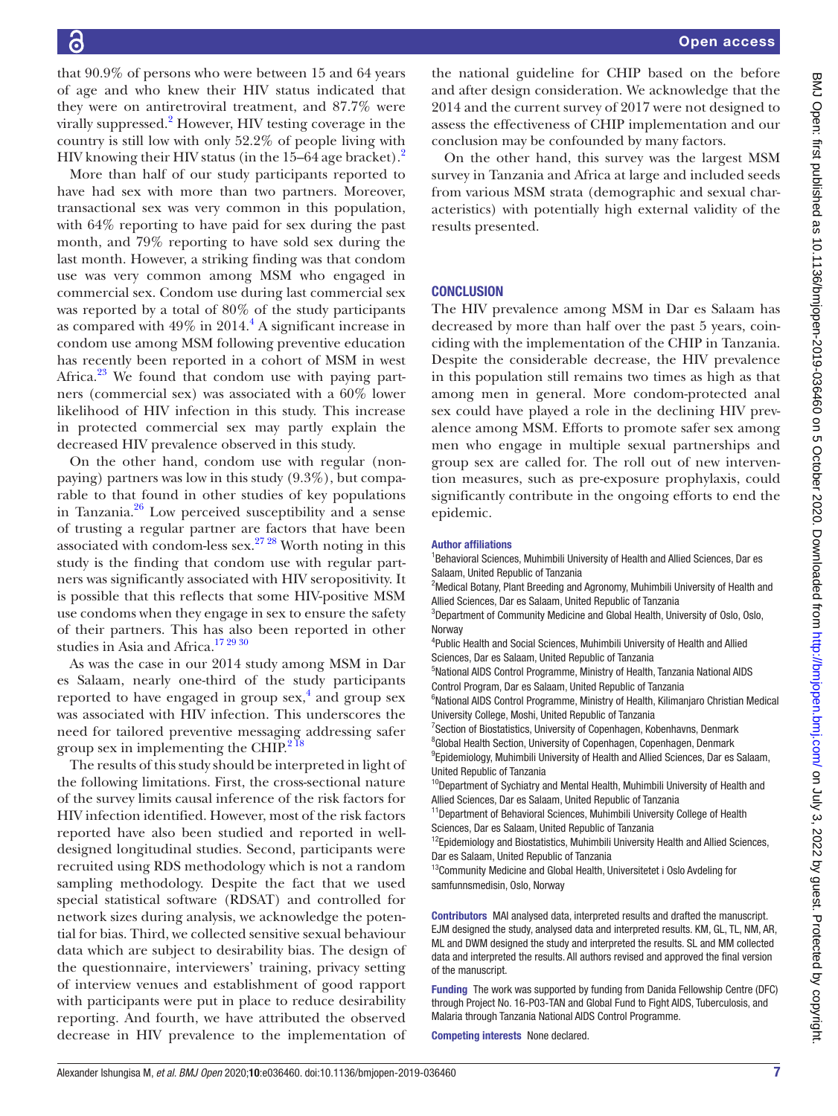that 90.9% of persons who were between 15 and 64 years of age and who knew their HIV status indicated that they were on antiretroviral treatment, and 87.7% were virally suppressed.<sup>[2](#page-7-1)</sup> However, HIV testing coverage in the country is still low with only 52.2% of people living with HIV knowing their HIV status (in the  $15-64$  age bracket).<sup>[2](#page-7-1)</sup>

More than half of our study participants reported to have had sex with more than two partners. Moreover, transactional sex was very common in this population, with 64% reporting to have paid for sex during the past month, and 79% reporting to have sold sex during the last month. However, a striking finding was that condom use was very common among MSM who engaged in commercial sex. Condom use during last commercial sex was reported by a total of 80% of the study participants as compared with  $49\%$  in  $2014<sup>4</sup>$  A significant increase in condom use among MSM following preventive education has recently been reported in a cohort of MSM in west Africa. $23$  We found that condom use with paying partners (commercial sex) was associated with a 60% lower likelihood of HIV infection in this study. This increase in protected commercial sex may partly explain the decreased HIV prevalence observed in this study.

On the other hand, condom use with regular (nonpaying) partners was low in this study (9.3%), but comparable to that found in other studies of key populations in Tanzania. $^{26}$  Low perceived susceptibility and a sense of trusting a regular partner are factors that have been associated with condom-less sex. $27 28$  Worth noting in this study is the finding that condom use with regular partners was significantly associated with HIV seropositivity. It is possible that this reflects that some HIV-positive MSM use condoms when they engage in sex to ensure the safety of their partners. This has also been reported in other studies in Asia and Africa.<sup>17 29 30</sup>

As was the case in our 2014 study among MSM in Dar es Salaam, nearly one-third of the study participants reported to have engaged in group  $sex$ ,<sup>[4](#page-7-2)</sup> and group  $sex$ was associated with HIV infection. This underscores the need for tailored preventive messaging addressing safer group sex in implementing the CHIP. $^{218}$ 

The results of this study should be interpreted in light of the following limitations. First, the cross-sectional nature of the survey limits causal inference of the risk factors for HIV infection identified. However, most of the risk factors reported have also been studied and reported in welldesigned longitudinal studies. Second, participants were recruited using RDS methodology which is not a random sampling methodology. Despite the fact that we used special statistical software (RDSAT) and controlled for network sizes during analysis, we acknowledge the potential for bias. Third, we collected sensitive sexual behaviour data which are subject to desirability bias. The design of the questionnaire, interviewers' training, privacy setting of interview venues and establishment of good rapport with participants were put in place to reduce desirability reporting. And fourth, we have attributed the observed decrease in HIV prevalence to the implementation of

the national guideline for CHIP based on the before and after design consideration. We acknowledge that the 2014 and the current survey of 2017 were not designed to assess the effectiveness of CHIP implementation and our conclusion may be confounded by many factors.

On the other hand, this survey was the largest MSM survey in Tanzania and Africa at large and included seeds from various MSM strata (demographic and sexual characteristics) with potentially high external validity of the results presented.

#### **CONCLUSION**

The HIV prevalence among MSM in Dar es Salaam has decreased by more than half over the past 5 years, coinciding with the implementation of the CHIP in Tanzania. Despite the considerable decrease, the HIV prevalence in this population still remains two times as high as that among men in general. More condom-protected anal sex could have played a role in the declining HIV prevalence among MSM. Efforts to promote safer sex among men who engage in multiple sexual partnerships and group sex are called for. The roll out of new intervention measures, such as pre-exposure prophylaxis, could significantly contribute in the ongoing efforts to end the epidemic.

#### Author affiliations

<sup>1</sup> Behavioral Sciences, Muhimbili University of Health and Allied Sciences, Dar es Salaam, United Republic of Tanzania

<sup>2</sup>Medical Botany, Plant Breeding and Agronomy, Muhimbili University of Health and Allied Sciences, Dar es Salaam, United Republic of Tanzania

3 Department of Community Medicine and Global Health, University of Oslo, Oslo, **Norway** 

<sup>4</sup>Public Health and Social Sciences, Muhimbili University of Health and Allied Sciences, Dar es Salaam, United Republic of Tanzania

5 National AIDS Control Programme, Ministry of Health, Tanzania National AIDS Control Program, Dar es Salaam, United Republic of Tanzania

<sup>6</sup>National AIDS Control Programme, Ministry of Health, Kilimanjaro Christian Medical University College, Moshi, United Republic of Tanzania

<sup>7</sup> Section of Biostatistics, University of Copenhagen, Kobenhavns, Denmark

<sup>8</sup>Global Health Section, University of Copenhagen, Copenhagen, Denmark

<sup>9</sup> Epidemiology, Muhimbili University of Health and Allied Sciences, Dar es Salaam, United Republic of Tanzania

<sup>10</sup>Department of Sychiatry and Mental Health, Muhimbili University of Health and Allied Sciences, Dar es Salaam, United Republic of Tanzania

<sup>11</sup>Department of Behavioral Sciences, Muhimbili University College of Health Sciences, Dar es Salaam, United Republic of Tanzania

<sup>12</sup>Epidemiology and Biostatistics, Muhimbili University Health and Allied Sciences, Dar es Salaam, United Republic of Tanzania

<sup>13</sup>Community Medicine and Global Health, Universitetet i Oslo Avdeling for samfunnsmedisin, Oslo, Norway

Contributors MAI analysed data, interpreted results and drafted the manuscript. EJM designed the study, analysed data and interpreted results. KM, GL, TL, NM, AR, ML and DWM designed the study and interpreted the results. SL and MM collected data and interpreted the results. All authors revised and approved the final version of the manuscript.

Funding The work was supported by funding from Danida Fellowship Centre (DFC) through Project No. 16-P03-TAN and Global Fund to Fight AIDS, Tuberculosis, and Malaria through Tanzania National AIDS Control Programme.

Competing interests None declared.